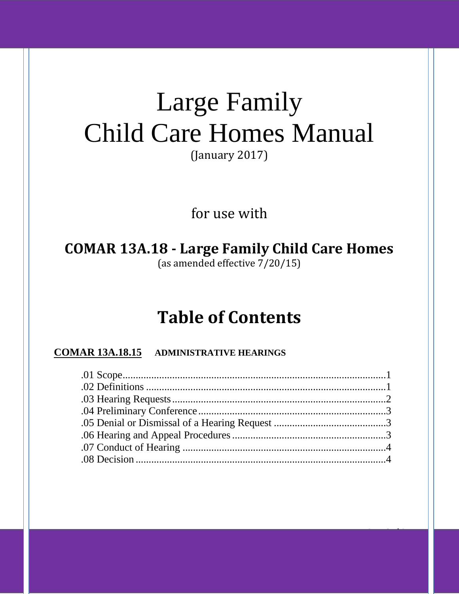# Large Family Child Care Homes Manual

(January 2017)

for use with

**COMAR 13A.18 - Large Family Child Care Homes** (as amended effective 7/20/15)

## **Table of Contents**

### **COMAR 13A.18.15 ADMINISTRATIVE HEARINGS**

Page **0** of **4**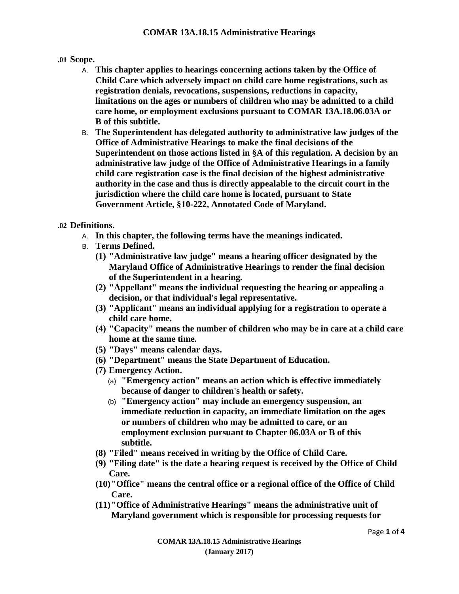#### **.01 Scope.**

- A. **This chapter applies to hearings concerning actions taken by the Office of Child Care which adversely impact on child care home registrations, such as registration denials, revocations, suspensions, reductions in capacity, limitations on the ages or numbers of children who may be admitted to a child care home, or employment exclusions pursuant to COMAR 13A.18.06.03A or B of this subtitle.**
- B. **The Superintendent has delegated authority to administrative law judges of the Office of Administrative Hearings to make the final decisions of the Superintendent on those actions listed in §A of this regulation. A decision by an administrative law judge of the Office of Administrative Hearings in a family child care registration case is the final decision of the highest administrative authority in the case and thus is directly appealable to the circuit court in the jurisdiction where the child care home is located, pursuant to State Government Article, §10-222, Annotated Code of Maryland.**

#### **.02 Definitions.**

- A. **In this chapter, the following terms have the meanings indicated.**
- B. **Terms Defined.**
	- **(1) "Administrative law judge" means a hearing officer designated by the Maryland Office of Administrative Hearings to render the final decision of the Superintendent in a hearing.**
	- **(2) "Appellant" means the individual requesting the hearing or appealing a decision, or that individual's legal representative.**
	- **(3) "Applicant" means an individual applying for a registration to operate a child care home.**
	- **(4) "Capacity" means the number of children who may be in care at a child care home at the same time.**
	- **(5) "Days" means calendar days.**
	- **(6) "Department" means the State Department of Education.**
	- **(7) Emergency Action.**
		- (a) **"Emergency action" means an action which is effective immediately because of danger to children's health or safety.**
		- (b) **"Emergency action" may include an emergency suspension, an immediate reduction in capacity, an immediate limitation on the ages or numbers of children who may be admitted to care, or an employment exclusion pursuant to Chapter 06.03A or B of this subtitle.**
	- **(8) "Filed" means received in writing by the Office of Child Care.**
	- **(9) "Filing date" is the date a hearing request is received by the Office of Child Care.**
	- **(10)"Office" means the central office or a regional office of the Office of Child Care.**
	- **(11)"Office of Administrative Hearings" means the administrative unit of Maryland government which is responsible for processing requests for**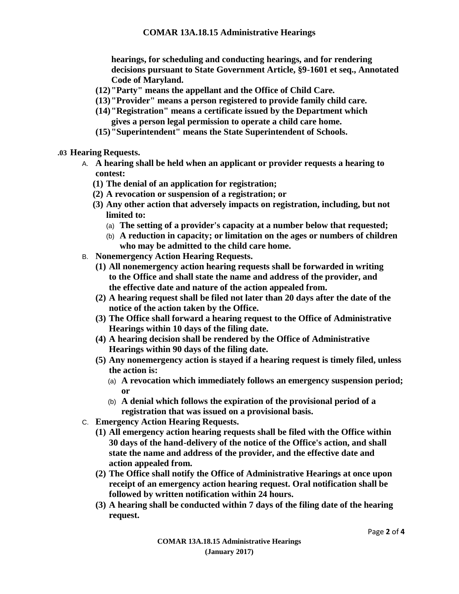**hearings, for scheduling and conducting hearings, and for rendering decisions pursuant to State Government Article, §9-1601 et seq., Annotated Code of Maryland.**

- **(12)"Party" means the appellant and the Office of Child Care.**
- **(13)"Provider" means a person registered to provide family child care.**
- **(14)"Registration" means a certificate issued by the Department which gives a person legal permission to operate a child care home.**
- **(15)"Superintendent" means the State Superintendent of Schools.**
- **.03 Hearing Requests.**
	- A. **A hearing shall be held when an applicant or provider requests a hearing to contest:**
		- **(1) The denial of an application for registration;**
		- **(2) A revocation or suspension of a registration; or**
		- **(3) Any other action that adversely impacts on registration, including, but not limited to:**
			- (a) **The setting of a provider's capacity at a number below that requested;**
			- (b) **A reduction in capacity; or limitation on the ages or numbers of children who may be admitted to the child care home.**
	- B. **Nonemergency Action Hearing Requests.**
		- **(1) All nonemergency action hearing requests shall be forwarded in writing to the Office and shall state the name and address of the provider, and the effective date and nature of the action appealed from.**
		- **(2) A hearing request shall be filed not later than 20 days after the date of the notice of the action taken by the Office.**
		- **(3) The Office shall forward a hearing request to the Office of Administrative Hearings within 10 days of the filing date.**
		- **(4) A hearing decision shall be rendered by the Office of Administrative Hearings within 90 days of the filing date.**
		- **(5) Any nonemergency action is stayed if a hearing request is timely filed, unless the action is:**
			- (a) **A revocation which immediately follows an emergency suspension period; or**
			- (b) **A denial which follows the expiration of the provisional period of a registration that was issued on a provisional basis.**
	- C. **Emergency Action Hearing Requests.**
		- **(1) All emergency action hearing requests shall be filed with the Office within 30 days of the hand-delivery of the notice of the Office's action, and shall state the name and address of the provider, and the effective date and action appealed from.**
		- **(2) The Office shall notify the Office of Administrative Hearings at once upon receipt of an emergency action hearing request. Oral notification shall be followed by written notification within 24 hours.**
		- **(3) A hearing shall be conducted within 7 days of the filing date of the hearing request.**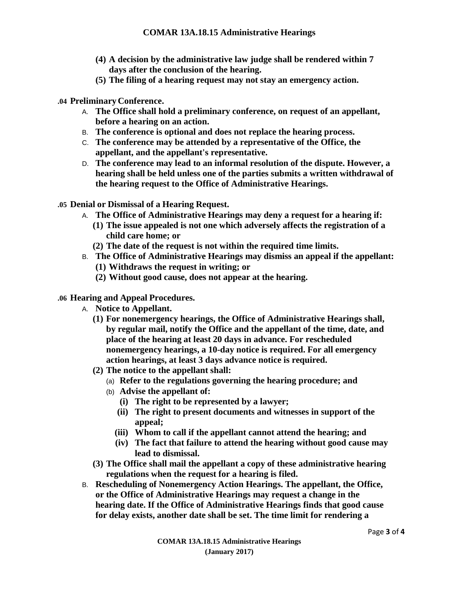- **(4) A decision by the administrative law judge shall be rendered within 7 days after the conclusion of the hearing.**
- **(5) The filing of a hearing request may not stay an emergency action.**
- **.04 PreliminaryConference.**
	- A. **The Office shall hold a preliminary conference, on request of an appellant, before a hearing on an action.**
	- B. **The conference is optional and does not replace the hearing process.**
	- C. **The conference may be attended by a representative of the Office, the appellant, and the appellant's representative.**
	- D. **The conference may lead to an informal resolution of the dispute. However, a hearing shall be held unless one of the parties submits a written withdrawal of the hearing request to the Office of Administrative Hearings.**
- **.05 Denial or Dismissal of a Hearing Request.**
	- A. **The Office of Administrative Hearings may deny a request for a hearing if:**
		- **(1) The issue appealed is not one which adversely affects the registration of a child care home; or**
		- **(2) The date of the request is not within the required time limits.**
	- B. **The Office of Administrative Hearings may dismiss an appeal if the appellant:**
		- **(1) Withdraws the request in writing; or**
		- **(2) Without good cause, does not appear at the hearing.**

#### **.06 Hearing and Appeal Procedures.**

- A. **Notice to Appellant.**
	- **(1) For nonemergency hearings, the Office of Administrative Hearings shall, by regular mail, notify the Office and the appellant of the time, date, and place of the hearing at least 20 days in advance. For rescheduled nonemergency hearings, a 10-day notice is required. For all emergency action hearings, at least 3 days advance notice is required.**
	- **(2) The notice to the appellant shall:**
		- (a) **Refer to the regulations governing the hearing procedure; and**
		- (b) **Advise the appellant of:**
			- **(i) The right to be represented by a lawyer;**
			- **(ii) The right to present documents and witnesses in support of the appeal;**
			- **(iii) Whom to call if the appellant cannot attend the hearing; and**
			- **(iv) The fact that failure to attend the hearing without good cause may lead to dismissal.**
	- **(3) The Office shall mail the appellant a copy of these administrative hearing regulations when the request for a hearing is filed.**
- B. **Rescheduling of Nonemergency Action Hearings. The appellant, the Office, or the Office of Administrative Hearings may request a change in the hearing date. If the Office of Administrative Hearings finds that good cause for delay exists, another date shall be set. The time limit for rendering a**